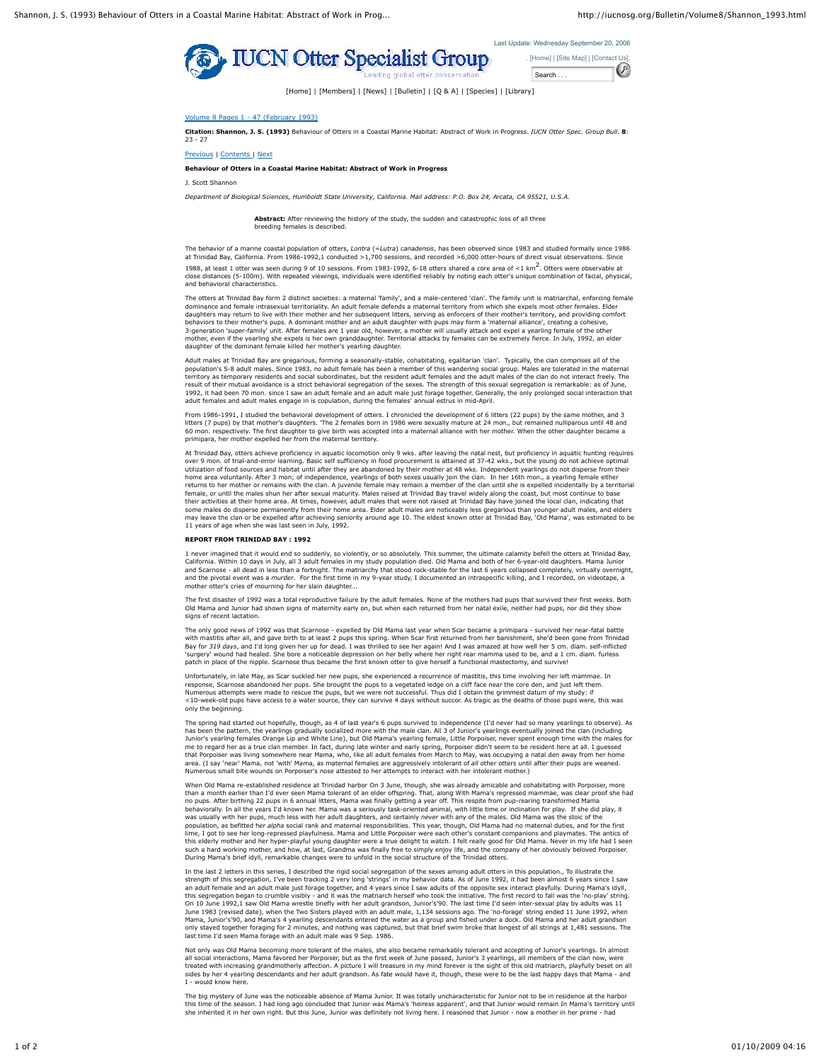



[Home] | [Members] | [News] | [Bulletin] | [Q & A] | [Species] | [Library]

## Volume 8 Pages 1 - 47 (February 1993)

**Citation: Shannon, J. S. (1993)** Behaviour of Otters in a Coastal Marine Habitat: Abstract of Work in Progress. *IUCN Otter Spec. Group Bull*. **8**: 23 - 27

Previous | Contents | Next

## **Behaviour of Otters in a Coastal Marine Habitat: Abstract of Work in Progress**

J. Scott Shannon

*Department of Biological Sciences, Humboldt State University, California. Mail address: P.O. Box 24, Arcata, CA 95521, U.S.A.*

**Abstract:** After reviewing the history of the study, the sudden and catastrophic loss of all three breeding females is describe

The behavior of a marine coastal population of otters, *Lontra* (=*Lutra*) *canadensis*, has been observed since 1983 and studied formally since 1986 at Trinidad Bay, California. From 1986-1992,1 conducted >1,700 sessions, and recorded >6,000 otter-hours of direct visual observations. 1988, at least 1 otter was seen during 9 of 10 sessions. From 1983-1992, 6-18 otters shared a core area of <1 km<sup>2</sup>. Otters were observable at<br>close distances (5-100m). With repeated viewings, individuals were identified r close distances (5-100m). With repeated viewings, individuals were identified reliably by noting each otter's unique combination of facial, physical, physical, physical, physical, physical, physical, physical, physical, ph and behavioral characteristics.

The otters at Trinidad Bay form 2 distinct societies: a maternal 'family', and a male-centered 'clan'. The family unit is matriarchal, enforcing female dominance and female intrasexual territoriality. An adult female defends a maternal territory from which she expels most other females. Elder<br>daughters may return to live with their mother and her subsequent litters, servi mother, even if the yearling she expels is her own granddaughter. Territorial attacks by females can be extremely fierce. In July, 1992, an elder daughter of the dominant female killed her mother's yearling daughter.

Adult males at Trinidad Bay are gregarious, forming a seasonally-stable, cohabitating, egalitarian 'clan'. Typically, the clan comprises all of the<br>population's 5-8 adult males. Since 1983, no adult female has been a membe territory as temporary residents and social subordinates, but the resident adult females and the adult males of the clan do not interact freely. The result of their mutual avoidance is a strict behavioral segregation of the sexes. The strength of this sexual segregation is remarkable: as of June,<br>1992, it had been 70 mon. since I saw an adult female and an dult male ju

From 1986-1991, I studied the behavioral development of otters. I chronicled the development of 6 litters (22 pups) by the same mother, and 3 litters (7 pups) by that mother's daughters. 'The 2 females born in 1986 were sexually mature at 24 mon., but remained nulliparous until 48 and 60 mon. respectively. The first daughter to give birth was accepted into a maternal alliance with her mother. When the other daughter became a primipara, her mother expelled her from the maternal territory.

At Trinidad Bay, otters achieve proficiency in aquatic locomotion only 9 wks. after leaving the natal nest, but proficiency in aquatic hunting requires over 9 mon. of trial-and-error learning. Basic self sufficiency in food procurement is attained at 37-42 wks., but the young do not achieve optimal utilization of food sources and habitat until after they are abandoned by their mother at 48 wks. Independent yearlings do not disperse from their<br>home area voluntarily. After 3 mon; of independence, yearlings of both sexe female, or until the males shun her after sexual maturity. Males raised at Trinidad Bay travel widely along the coast, but most continue to base their activities at their home area. At times, however, adult males that were not raised at Trinidad Bay have joined the local clan, indicating that<br>some males do disperse permanently from their home area. Elder adult male 11 years of age when she was last seen in July, 1992.

## **REPORT FROM TRINIDAD BAY : 1992**

1 never imagined that it would end so suddenly, so violently, or so absolutely. This summer, the ultimate calamity befell the otters at Trinidad Bay, California. Within 10 days in July, all 3 adult females in my study population died. Old Mama and both of her 6-year-old daughters. Mama Junior<br>and Scarnose - all dead in less than a fortnight. The matriarchy that stood ro and the pivotal event was a *murder*. For the first time in my 9-year study, I documented an intraspecific killing, and I recorded, on videotape, a mother otter's cries of mourning for her slain daughter...

The first disaster of 1992 was a total reproductive failure by the adult females. None of the mothers had pups that survived their first weeks. Both old Mama and Shown signs of maternity early on, but when each returned from her natal exile, neither had pups, nor did they show signs of recent lactation.

The only good news of 1992 was that Scarnose - expelled by Old Mama last year when Scar became a primipara - survived her near-fatal battle with mastitis after all, and gave birth to at least 2 pups this spring. When Scar first returned from her banishment, she'd been gone from Trinidad Bay for 319 days, and I'd long given her up for dead. I was thrilled to see her again! And I was amazed at how well her 5 cm. diam. self-inflicted<br>'surgery' wound had healed. She bore a noticeable depression on her belly w

Unfortunately, in late May, as Scar suckled her new pups, she experienced a recurrence of mastitis, this time involving her left mammae. In response, Scarnose abandoned her pups. She brought the pups to a vegetated ledge on a cliff face near the core den, and just left them.<br>Numerous attempts were made to rescue the pups, but we were not successful. Thus did I amentous user music where the second of the survive 4 days without succor. As tragic as the deaths of those pups were, this was a functional survive 4 days without succor. As tragic as the deaths of those pups were, this w only the beginning.

The spring had started out hopefully, though, as 4 of last year's 6 pups survived to independence (I'd never had so many yearlings to observe). As has been the pattern, the yearlings gradually socialized more with the male clan. All 3 of Junior's yearlings eventually joined the clan (including<br>Junior's yearling females Orange Lip and White Line), but Old Mama's yearl area. (I say 'near' Mama, not 'with' Mama, as maternal females are aggressively intolerant of *all* other otters until after their pups are weaned.<br>Numerous small bite wounds on Porpoiser's nose attested to her attempts to

When Old Mama re-established residence at Trinidad harbor On 3 June, though, she was already amicable and cohabitating with Porpoiser, more<br>than a month earlier than I'd ever seen Mama tolerant of an elder offspring. That, behaviorally. In all the years I'd known her. Mama was a seriously task-oriented animal, with little time or inclination for play. If she did play, it<br>was usually with her pups, much less with her adult daughters, and cert lime. I got to see her long-repressed playfulness. Mama and Little Porpoiser were each other's constant companions and playmates. The antics of this elderly mother and her hyper-playful young daughter were a true delight to watch. I felt really good for Old Mama. Never in my life had I seen<br>such a hard working mother, and how, at last, Grandma was finally free to

In the last 2 letters in this series, I described the rigid social segregation of the sexes among adult otters in this population., To illustrate the strength of this segregation, I've been tracking 2 very long 'strings' in my behavior data. As of June 1992, it had been almost 6 years since I saw<br>an adult female and an adult male just forage together, and 4 years since June 1983 (revised date), when the Two Sisters played with an adult male, 1,134 sessions ago. The 'no-forage' string ended 11 June 1992, when<br>Mama, Junior's'90, and Mama's 4 yearling descendants entered the water as a grou last time I'd seen Mama forage with an adult male was 9 Sep. 1986.

Not only was Old Mama becoming more tolerant of the males, she also became remarkably tolerant and accepting of Junior's yearlings. In almost all social interactions, Mama favored her Porpoiser, but as the first week of June passed, Junior's 3 yearlings, all members of the clan now, were<br>treated with increasing grandmotherly affection. A picture I will treasure I - would know here.

The big mystery of June was the noticeable absence of Mama Junior. It was totally uncharacteristic for Junior not to be in residence at the harbor this time of the season. I had long ago concluded that Junior was Mama's 'heiress apparent', and that Junior would remain In Mama's territory until<br>she inherited it in her own right. But this June, Junior was definitely no